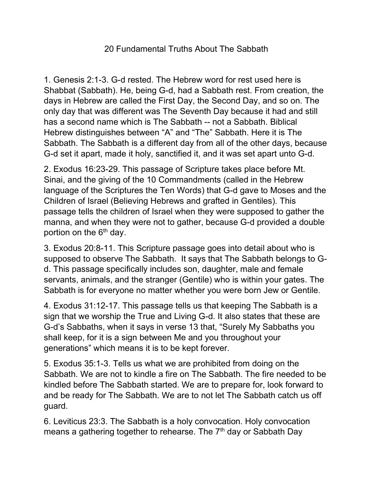## 20 Fundamental Truths About The Sabbath

1. Genesis 2:1-3. G-d rested. The Hebrew word for rest used here is Shabbat (Sabbath). He, being G-d, had a Sabbath rest. From creation, the days in Hebrew are called the First Day, the Second Day, and so on. The only day that was different was The Seventh Day because it had and still has a second name which is The Sabbath -- not a Sabbath. Biblical Hebrew distinguishes between "A" and "The" Sabbath. Here it is The Sabbath. The Sabbath is a different day from all of the other days, because G-d set it apart, made it holy, sanctified it, and it was set apart unto G-d.

2. Exodus 16:23-29. This passage of Scripture takes place before Mt. Sinai, and the giving of the 10 Commandments (called in the Hebrew language of the Scriptures the Ten Words) that G-d gave to Moses and the Children of Israel (Believing Hebrews and grafted in Gentiles). This passage tells the children of Israel when they were supposed to gather the manna, and when they were not to gather, because G-d provided a double portion on the  $6<sup>th</sup>$  day.

3. Exodus 20:8-11. This Scripture passage goes into detail about who is supposed to observe The Sabbath. It says that The Sabbath belongs to Gd. This passage specifically includes son, daughter, male and female servants, animals, and the stranger (Gentile) who is within your gates. The Sabbath is for everyone no matter whether you were born Jew or Gentile.

4. Exodus 31:12-17. This passage tells us that keeping The Sabbath is a sign that we worship the True and Living G-d. It also states that these are G-d's Sabbaths, when it says in verse 13 that, "Surely My Sabbaths you shall keep, for it is a sign between Me and you throughout your generations" which means it is to be kept forever.

5. Exodus 35:1-3. Tells us what we are prohibited from doing on the Sabbath. We are not to kindle a fire on The Sabbath. The fire needed to be kindled before The Sabbath started. We are to prepare for, look forward to and be ready for The Sabbath. We are to not let The Sabbath catch us off guard.

6. Leviticus 23:3. The Sabbath is a holy convocation. Holy convocation means a gathering together to rehearse. The 7<sup>th</sup> day or Sabbath Day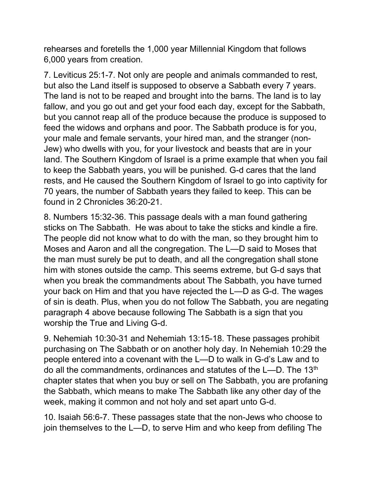rehearses and foretells the 1,000 year Millennial Kingdom that follows 6,000 years from creation.

7. Leviticus 25:1-7. Not only are people and animals commanded to rest, but also the Land itself is supposed to observe a Sabbath every 7 years. The land is not to be reaped and brought into the barns. The land is to lay fallow, and you go out and get your food each day, except for the Sabbath, but you cannot reap all of the produce because the produce is supposed to feed the widows and orphans and poor. The Sabbath produce is for you, your male and female servants, your hired man, and the stranger (non-Jew) who dwells with you, for your livestock and beasts that are in your land. The Southern Kingdom of Israel is a prime example that when you fail to keep the Sabbath years, you will be punished. G-d cares that the land rests, and He caused the Southern Kingdom of Israel to go into captivity for 70 years, the number of Sabbath years they failed to keep. This can be found in 2 Chronicles 36:20-21.

8. Numbers 15:32-36. This passage deals with a man found gathering sticks on The Sabbath. He was about to take the sticks and kindle a fire. The people did not know what to do with the man, so they brought him to Moses and Aaron and all the congregation. The L—D said to Moses that the man must surely be put to death, and all the congregation shall stone him with stones outside the camp. This seems extreme, but G-d says that when you break the commandments about The Sabbath, you have turned your back on Him and that you have rejected the L—D as G-d. The wages of sin is death. Plus, when you do not follow The Sabbath, you are negating paragraph 4 above because following The Sabbath is a sign that you worship the True and Living G-d.

9. Nehemiah 10:30-31 and Nehemiah 13:15-18. These passages prohibit purchasing on The Sabbath or on another holy day. In Nehemiah 10:29 the people entered into a covenant with the L—D to walk in G-d's Law and to do all the commandments, ordinances and statutes of the  $L$ —D. The 13<sup>th</sup> chapter states that when you buy or sell on The Sabbath, you are profaning the Sabbath, which means to make The Sabbath like any other day of the week, making it common and not holy and set apart unto G-d.

10. Isaiah 56:6-7. These passages state that the non-Jews who choose to join themselves to the L—D, to serve Him and who keep from defiling The